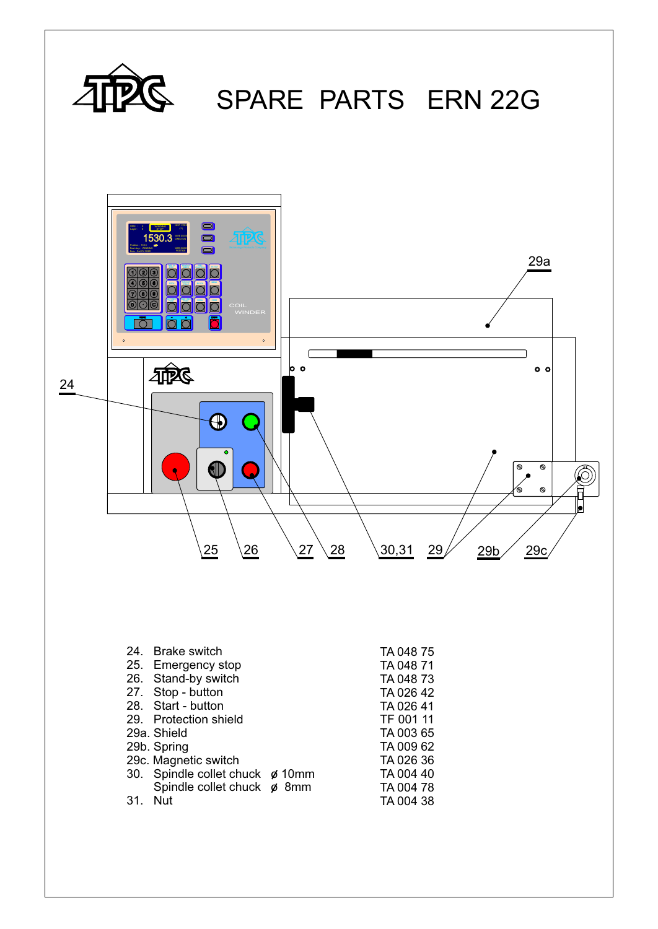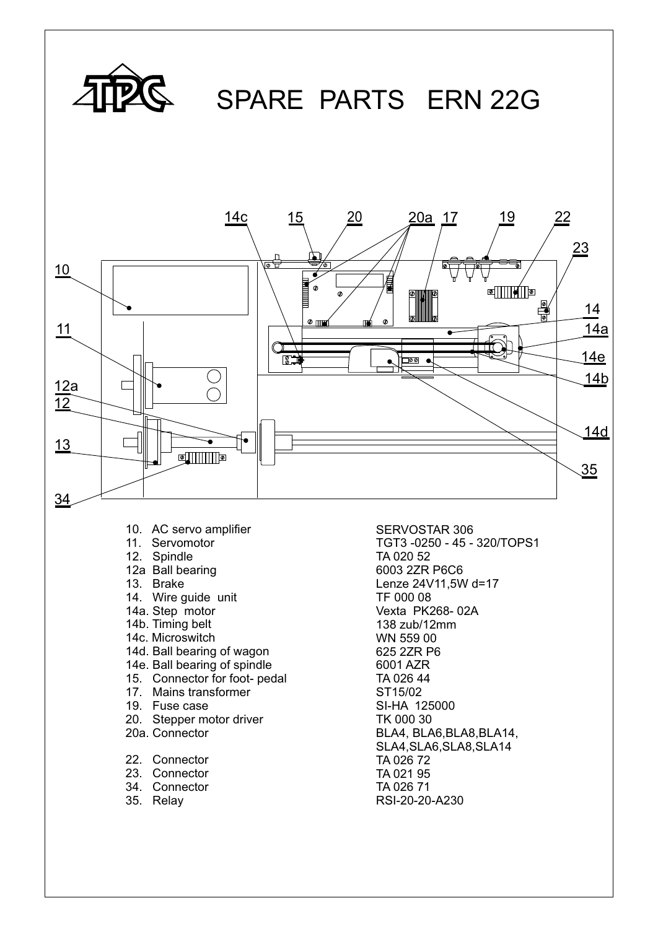

- 13. Brake
- 14. Wire guide unit
- 14a. Step motor
- 14b. Timing belt
- 14c. Microswitch
- 14d. Ball bearing of wagon
- 14e. Ball bearing of spindle
- 15. Connector for foot- pedal
- 17. Mains transformer
- 19. Fuse case
- 20. Stepper motor driver
- 20a. Connector
- 22. Connector
- 23. Connector
- 34. Connector
- 35. Relay

6003 2ZR P6C6 Lenze 24V11,5W d=17 TF 000 08 Vexta PK268- 02A 138 zub/12mm WN 559 00 625 2ZR P6 6001 AZR TA 026 44 ST15/02 SI-HA 125000 TK 000 30 BLA4, BLA6,BLA8,BLA14, SLA4,SLA6,SLA8,SLA14 TA 026 72 TA 021 95 TA 026 71 RSI-20-20-A230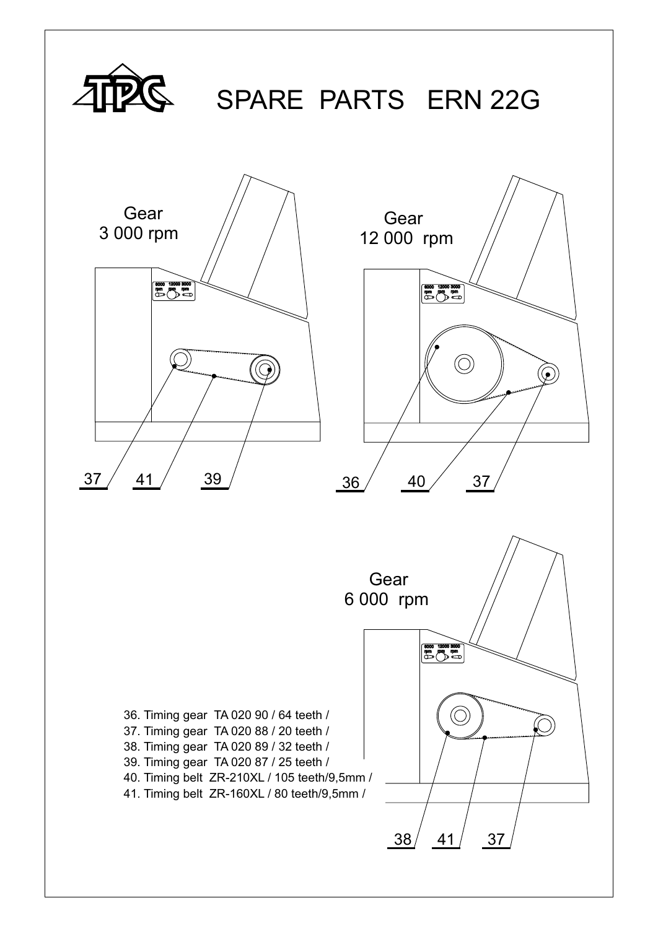